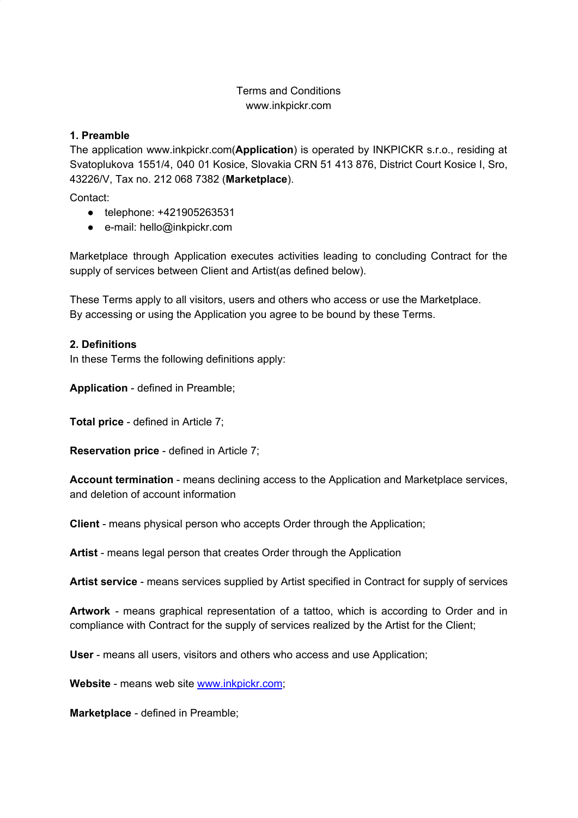# Terms and Conditions www.inkpickr.com

### **1. Preamble**

The application www.inkpickr.com(**Application**) is operated by INKPICKR s.r.o., residing at Svatoplukova 1551/4, 040 01 Kosice, Slovakia CRN 51 413 876, District Court Kosice I, Sro, 43226/V, Tax no. 212 068 7382 (**Marketplace**).

Contact:

- telephone: +421905263531
- e-mail: hello@inkpickr.com

Marketplace through Application executes activities leading to concluding Contract for the supply of services between Client and Artist(as defined below).

These Terms apply to all visitors, users and others who access or use the Marketplace. By accessing or using the Application you agree to be bound by these Terms.

#### **2. Definitions**

In these Terms the following definitions apply:

**Application** - defined in Preamble;

**Total price** - defined in Article 7;

**Reservation price** - defined in Article 7;

**Account termination** - means declining access to the Application and Marketplace services, and deletion of account information

**Client** - means physical person who accepts Order through the Application;

**Artist** - means legal person that creates Order through the Application

**Artist service** - means services supplied by Artist specified in Contract for supply of services

**Artwork** - means graphical representation of a tattoo, which is according to Order and in compliance with Contract for the supply of services realized by the Artist for the Client;

**User** - means all users, visitors and others who access and use Application;

**Website** - means web site www.inkpickr.com;

**Marketplace** - defined in Preamble;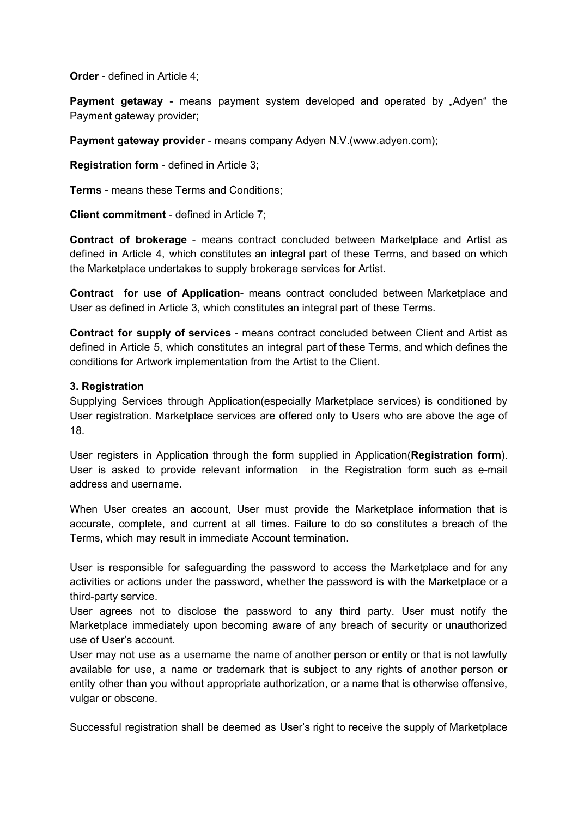**Order** - defined in Article 4;

**Payment getaway** - means payment system developed and operated by "Adyen" the Payment gateway provider;

**Payment gateway provider** - means company Adyen N.V.(www.adyen.com);

**Registration form** - defined in Article 3;

**Terms** - means these Terms and Conditions;

**Client commitment** - defined in Article 7;

**Contract of brokerage** - means contract concluded between Marketplace and Artist as defined in Article 4, which constitutes an integral part of these Terms, and based on which the Marketplace undertakes to supply brokerage services for Artist.

**Contract for use of Application**- means contract concluded between Marketplace and User as defined in Article 3, which constitutes an integral part of these Terms.

**Contract for supply of services** - means contract concluded between Client and Artist as defined in Article 5, which constitutes an integral part of these Terms, and which defines the conditions for Artwork implementation from the Artist to the Client.

#### **3. Registration**

Supplying Services through Application(especially Marketplace services) is conditioned by User registration. Marketplace services are offered only to Users who are above the age of 18.

User registers in Application through the form supplied in Application(**Registration form**). User is asked to provide relevant information in the Registration form such as e-mail address and username.

When User creates an account, User must provide the Marketplace information that is accurate, complete, and current at all times. Failure to do so constitutes a breach of the Terms, which may result in immediate Account termination.

User is responsible for safeguarding the password to access the Marketplace and for any activities or actions under the password, whether the password is with the Marketplace or a third-party service.

User agrees not to disclose the password to any third party. User must notify the Marketplace immediately upon becoming aware of any breach of security or unauthorized use of User's account.

User may not use as a username the name of another person or entity or that is not lawfully available for use, a name or trademark that is subject to any rights of another person or entity other than you without appropriate authorization, or a name that is otherwise offensive, vulgar or obscene.

Successful registration shall be deemed as User's right to receive the supply of Marketplace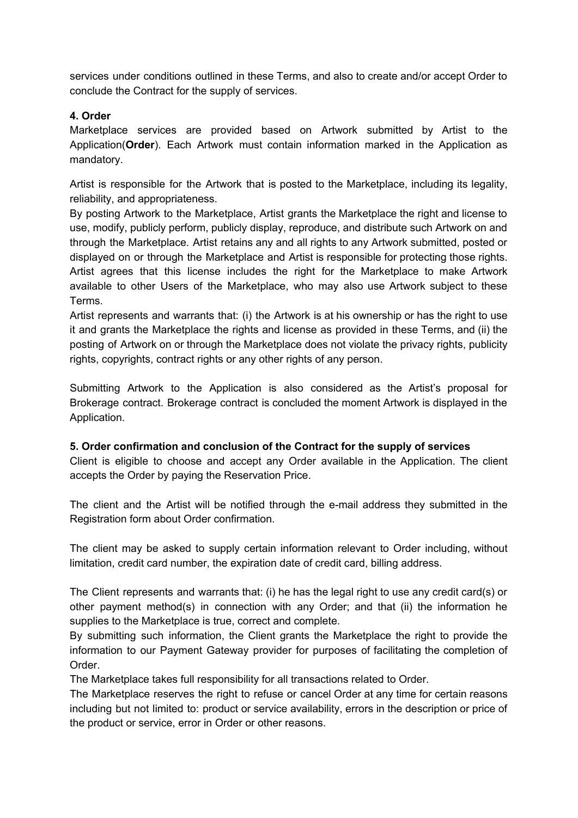services under conditions outlined in these Terms, and also to create and/or accept Order to conclude the Contract for the supply of services.

# **4. Order**

Marketplace services are provided based on Artwork submitted by Artist to the Application(**Order**). Each Artwork must contain information marked in the Application as mandatory.

Artist is responsible for the Artwork that is posted to the Marketplace, including its legality, reliability, and appropriateness.

By posting Artwork to the Marketplace, Artist grants the Marketplace the right and license to use, modify, publicly perform, publicly display, reproduce, and distribute such Artwork on and through the Marketplace. Artist retains any and all rights to any Artwork submitted, posted or displayed on or through the Marketplace and Artist is responsible for protecting those rights. Artist agrees that this license includes the right for the Marketplace to make Artwork available to other Users of the Marketplace, who may also use Artwork subject to these Terms.

Artist represents and warrants that: (i) the Artwork is at his ownership or has the right to use it and grants the Marketplace the rights and license as provided in these Terms, and (ii) the posting of Artwork on or through the Marketplace does not violate the privacy rights, publicity rights, copyrights, contract rights or any other rights of any person.

Submitting Artwork to the Application is also considered as the Artist's proposal for Brokerage contract. Brokerage contract is concluded the moment Artwork is displayed in the Application.

#### **5. Order confirmation and conclusion of the Contract for the supply of services**

Client is eligible to choose and accept any Order available in the Application. The client accepts the Order by paying the Reservation Price.

The client and the Artist will be notified through the e-mail address they submitted in the Registration form about Order confirmation.

The client may be asked to supply certain information relevant to Order including, without limitation, credit card number, the expiration date of credit card, billing address.

The Client represents and warrants that: (i) he has the legal right to use any credit card(s) or other payment method(s) in connection with any Order; and that (ii) the information he supplies to the Marketplace is true, correct and complete.

By submitting such information, the Client grants the Marketplace the right to provide the information to our Payment Gateway provider for purposes of facilitating the completion of Order.

The Marketplace takes full responsibility for all transactions related to Order.

The Marketplace reserves the right to refuse or cancel Order at any time for certain reasons including but not limited to: product or service availability, errors in the description or price of the product or service, error in Order or other reasons.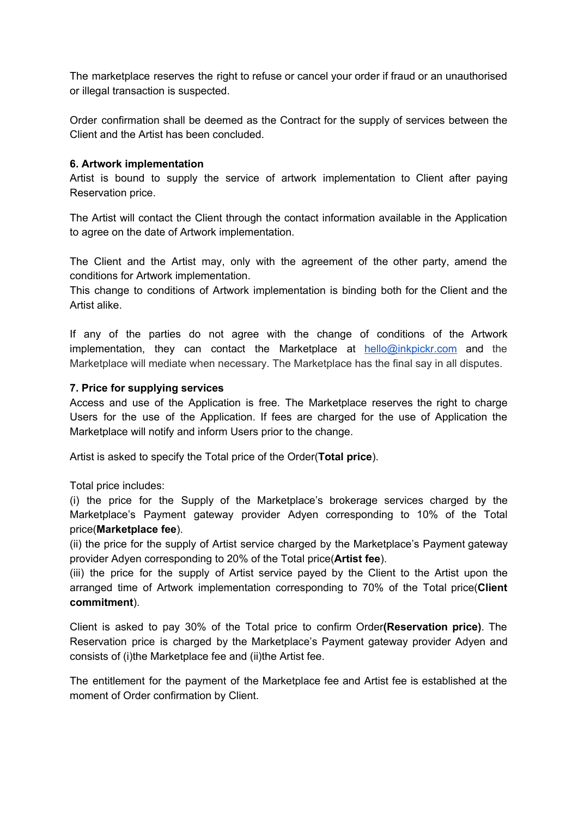The marketplace reserves the right to refuse or cancel your order if fraud or an unauthorised or illegal transaction is suspected.

Order confirmation shall be deemed as the Contract for the supply of services between the Client and the Artist has been concluded.

### **6. Artwork implementation**

Artist is bound to supply the service of artwork implementation to Client after paying Reservation price.

The Artist will contact the Client through the contact information available in the Application to agree on the date of Artwork implementation.

The Client and the Artist may, only with the agreement of the other party, amend the conditions for Artwork implementation.

This change to conditions of Artwork implementation is binding both for the Client and the Artist alike.

If any of the parties do not agree with the change of conditions of the Artwork implementation, they can contact the Marketplace at  $h$ ello@inkpickr.com and the Marketplace will mediate when necessary. The Marketplace has the final say in all disputes.

#### **7. Price for supplying services**

Access and use of the Application is free. The Marketplace reserves the right to charge Users for the use of the Application. If fees are charged for the use of Application the Marketplace will notify and inform Users prior to the change.

Artist is asked to specify the Total price of the Order(**Total price**).

Total price includes:

(i) the price for the Supply of the Marketplace's brokerage services charged by the Marketplace's Payment gateway provider Adyen corresponding to 10% of the Total price(**Marketplace fee**).

(ii) the price for the supply of Artist service charged by the Marketplace's Payment gateway provider Adyen corresponding to 20% of the Total price(**Artist fee**).

(iii) the price for the supply of Artist service payed by the Client to the Artist upon the arranged time of Artwork implementation corresponding to 70% of the Total price(**Client commitment**).

Client is asked to pay 30% of the Total price to confirm Order**(Reservation price)**. The Reservation price is charged by the Marketplace's Payment gateway provider Adyen and consists of (i)the Marketplace fee and (ii)the Artist fee.

The entitlement for the payment of the Marketplace fee and Artist fee is established at the moment of Order confirmation by Client.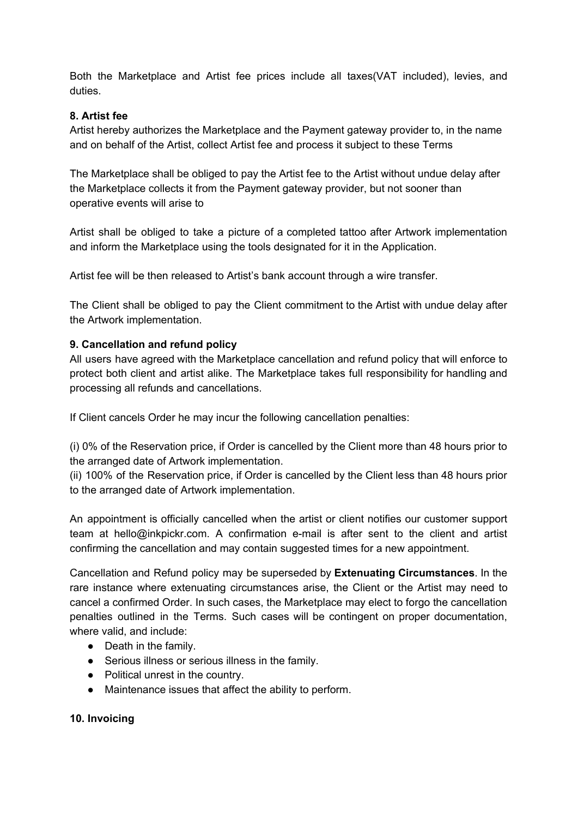Both the Marketplace and Artist fee prices include all taxes(VAT included), levies, and duties.

# **8. Artist fee**

Artist hereby authorizes the Marketplace and the Payment gateway provider to, in the name and on behalf of the Artist, collect Artist fee and process it subject to these Terms

The Marketplace shall be obliged to pay the Artist fee to the Artist without undue delay after the Marketplace collects it from the Payment gateway provider, but not sooner than operative events will arise to

Artist shall be obliged to take a picture of a completed tattoo after Artwork implementation and inform the Marketplace using the tools designated for it in the Application.

Artist fee will be then released to Artist's bank account through a wire transfer.

The Client shall be obliged to pay the Client commitment to the Artist with undue delay after the Artwork implementation.

## **9. Cancellation and refund policy**

All users have agreed with the Marketplace cancellation and refund policy that will enforce to protect both client and artist alike. The Marketplace takes full responsibility for handling and processing all refunds and cancellations.

If Client cancels Order he may incur the following cancellation penalties:

(i) 0% of the Reservation price, if Order is cancelled by the Client more than 48 hours prior to the arranged date of Artwork implementation.

(ii) 100% of the Reservation price, if Order is cancelled by the Client less than 48 hours prior to the arranged date of Artwork implementation.

An appointment is officially cancelled when the artist or client notifies our customer support team at hello@inkpickr.com. A confirmation e-mail is after sent to the client and artist confirming the cancellation and may contain suggested times for a new appointment.

Cancellation and Refund policy may be superseded by **Extenuating Circumstances**. In the rare instance where extenuating circumstances arise, the Client or the Artist may need to cancel a confirmed Order. In such cases, the Marketplace may elect to forgo the cancellation penalties outlined in the Terms. Such cases will be contingent on proper documentation, where valid, and include:

- Death in the family.
- Serious illness or serious illness in the family.
- Political unrest in the country.
- Maintenance issues that affect the ability to perform.

#### **10. Invoicing**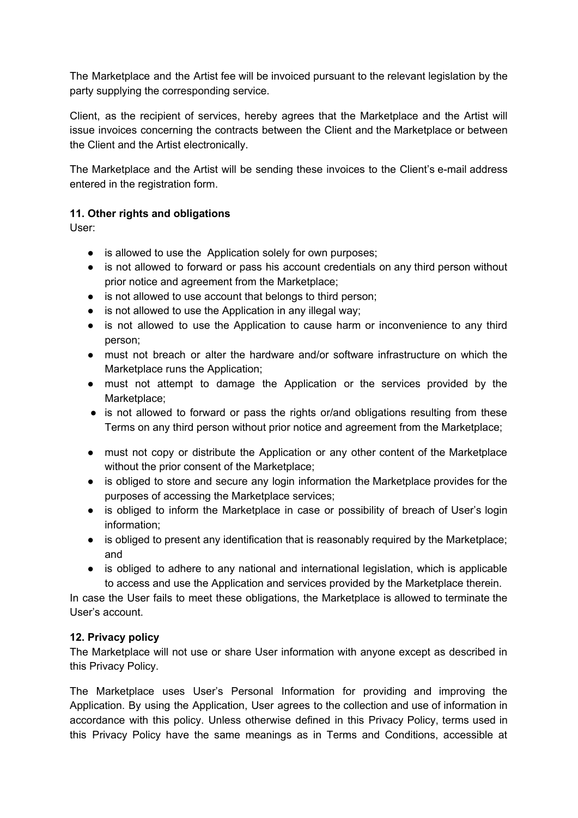The Marketplace and the Artist fee will be invoiced pursuant to the relevant legislation by the party supplying the corresponding service.

Client, as the recipient of services, hereby agrees that the Marketplace and the Artist will issue invoices concerning the contracts between the Client and the Marketplace or between the Client and the Artist electronically.

The Marketplace and the Artist will be sending these invoices to the Client's e-mail address entered in the registration form.

# **11. Other rights and obligations**

User:

- is allowed to use the Application solely for own purposes;
- is not allowed to forward or pass his account credentials on any third person without prior notice and agreement from the Marketplace;
- is not allowed to use account that belongs to third person;
- is not allowed to use the Application in any illegal way;
- is not allowed to use the Application to cause harm or inconvenience to any third person;
- must not breach or alter the hardware and/or software infrastructure on which the Marketplace runs the Application;
- must not attempt to damage the Application or the services provided by the Marketplace:
- is not allowed to forward or pass the rights or/and obligations resulting from these Terms on any third person without prior notice and agreement from the Marketplace;
- must not copy or distribute the Application or any other content of the Marketplace without the prior consent of the Marketplace;
- is obliged to store and secure any login information the Marketplace provides for the purposes of accessing the Marketplace services;
- is obliged to inform the Marketplace in case or possibility of breach of User's login information;
- is obliged to present any identification that is reasonably required by the Marketplace; and
- is obliged to adhere to any national and international legislation, which is applicable to access and use the Application and services provided by the Marketplace therein.

In case the User fails to meet these obligations, the Marketplace is allowed to terminate the User's account.

# **12. Privacy policy**

The Marketplace will not use or share User information with anyone except as described in this Privacy Policy.

The Marketplace uses User's Personal Information for providing and improving the Application. By using the Application, User agrees to the collection and use of information in accordance with this policy. Unless otherwise defined in this Privacy Policy, terms used in this Privacy Policy have the same meanings as in Terms and Conditions, accessible at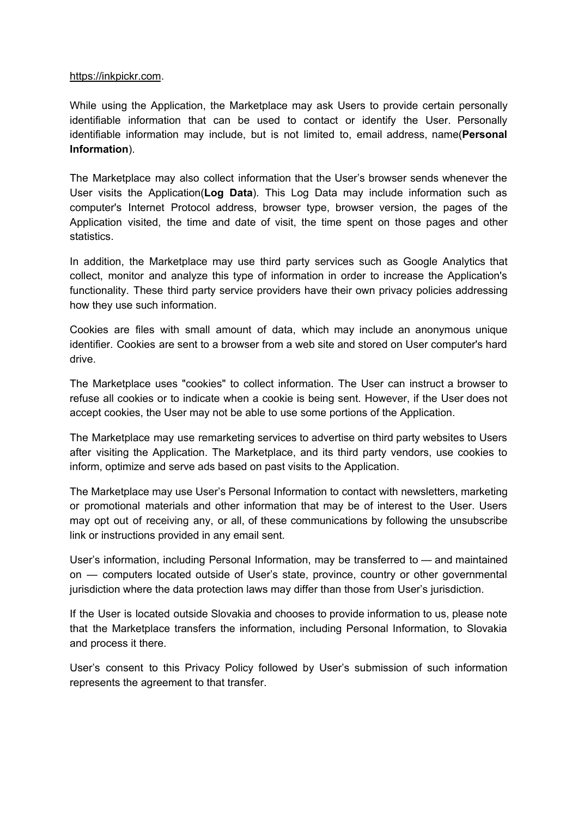#### [https://inkpickr.com](https://inkpickr.com/).

While using the Application, the Marketplace may ask Users to provide certain personally identifiable information that can be used to contact or identify the User. Personally identifiable information may include, but is not limited to, email address, name(**Personal Information**).

The Marketplace may also collect information that the User's browser sends whenever the User visits the Application(**Log Data**). This Log Data may include information such as computer's Internet Protocol address, browser type, browser version, the pages of the Application visited, the time and date of visit, the time spent on those pages and other statistics.

In addition, the Marketplace may use third party services such as Google Analytics that collect, monitor and analyze this type of information in order to increase the Application's functionality. These third party service providers have their own privacy policies addressing how they use such information.

Cookies are files with small amount of data, which may include an anonymous unique identifier. Cookies are sent to a browser from a web site and stored on User computer's hard drive.

The Marketplace uses "cookies" to collect information. The User can instruct a browser to refuse all cookies or to indicate when a cookie is being sent. However, if the User does not accept cookies, the User may not be able to use some portions of the Application.

The Marketplace may use remarketing services to advertise on third party websites to Users after visiting the Application. The Marketplace, and its third party vendors, use cookies to inform, optimize and serve ads based on past visits to the Application.

The Marketplace may use User's Personal Information to contact with newsletters, marketing or promotional materials and other information that may be of interest to the User. Users may opt out of receiving any, or all, of these communications by following the unsubscribe link or instructions provided in any email sent.

User's information, including Personal Information, may be transferred to — and maintained on — computers located outside of User's state, province, country or other governmental jurisdiction where the data protection laws may differ than those from User's jurisdiction.

If the User is located outside Slovakia and chooses to provide information to us, please note that the Marketplace transfers the information, including Personal Information, to Slovakia and process it there.

User's consent to this Privacy Policy followed by User's submission of such information represents the agreement to that transfer.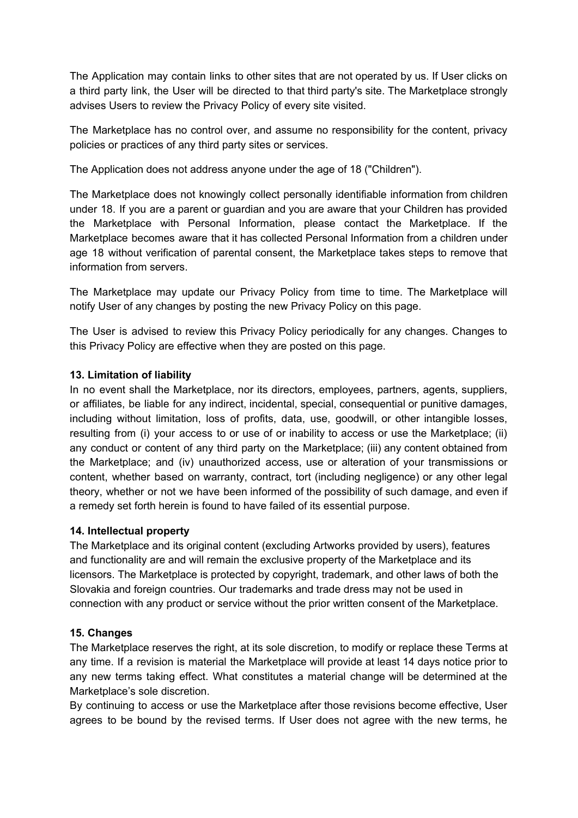The Application may contain links to other sites that are not operated by us. If User clicks on a third party link, the User will be directed to that third party's site. The Marketplace strongly advises Users to review the Privacy Policy of every site visited.

The Marketplace has no control over, and assume no responsibility for the content, privacy policies or practices of any third party sites or services.

The Application does not address anyone under the age of 18 ("Children").

The Marketplace does not knowingly collect personally identifiable information from children under 18. If you are a parent or guardian and you are aware that your Children has provided the Marketplace with Personal Information, please contact the Marketplace. If the Marketplace becomes aware that it has collected Personal Information from a children under age 18 without verification of parental consent, the Marketplace takes steps to remove that information from servers.

The Marketplace may update our Privacy Policy from time to time. The Marketplace will notify User of any changes by posting the new Privacy Policy on this page.

The User is advised to review this Privacy Policy periodically for any changes. Changes to this Privacy Policy are effective when they are posted on this page.

## **13. Limitation of liability**

In no event shall the Marketplace, nor its directors, employees, partners, agents, suppliers, or affiliates, be liable for any indirect, incidental, special, consequential or punitive damages, including without limitation, loss of profits, data, use, goodwill, or other intangible losses, resulting from (i) your access to or use of or inability to access or use the Marketplace; (ii) any conduct or content of any third party on the Marketplace; (iii) any content obtained from the Marketplace; and (iv) unauthorized access, use or alteration of your transmissions or content, whether based on warranty, contract, tort (including negligence) or any other legal theory, whether or not we have been informed of the possibility of such damage, and even if a remedy set forth herein is found to have failed of its essential purpose.

#### **14. Intellectual property**

The Marketplace and its original content (excluding Artworks provided by users), features and functionality are and will remain the exclusive property of the Marketplace and its licensors. The Marketplace is protected by copyright, trademark, and other laws of both the Slovakia and foreign countries. Our trademarks and trade dress may not be used in connection with any product or service without the prior written consent of the Marketplace.

# **15. Changes**

The Marketplace reserves the right, at its sole discretion, to modify or replace these Terms at any time. If a revision is material the Marketplace will provide at least 14 days notice prior to any new terms taking effect. What constitutes a material change will be determined at the Marketplace's sole discretion.

By continuing to access or use the Marketplace after those revisions become effective, User agrees to be bound by the revised terms. If User does not agree with the new terms, he